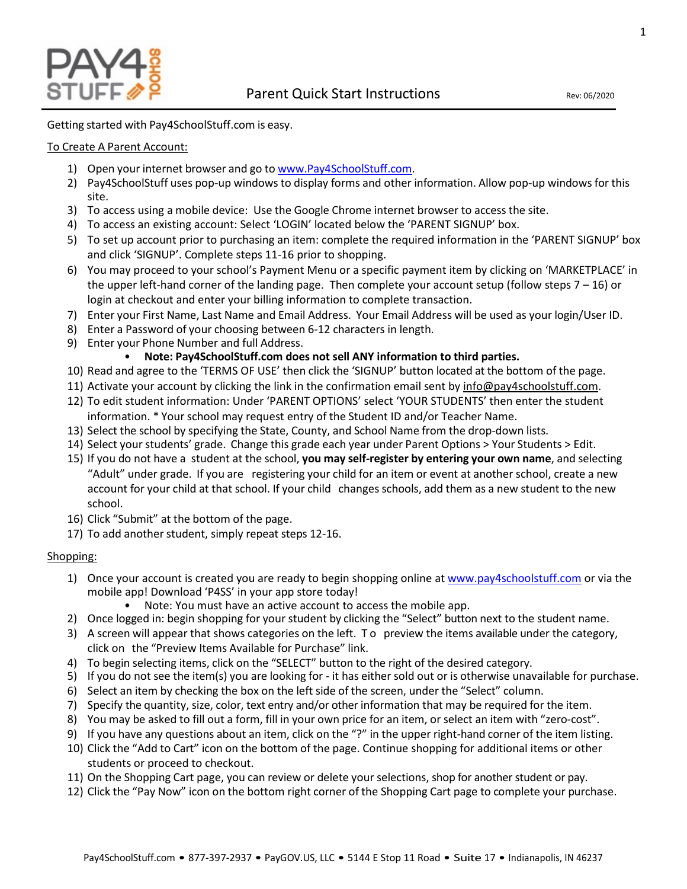

Getting started with Pay4SchoolStuff.com is easy.

## To Create A Parent Account:

- 1) Open your internet browser and go to [www.Pay4SchoolStuff.com.](http://www.pay4schoolstuff.com/)
- 2) Pay4SchoolStuff uses pop-up windows to display forms and other information. Allow pop-up windows for this site.
- 3) To access using a mobile device: Use the Google Chrome internet browser to access the site.
- 4) To access an existing account: Select 'LOGIN' located below the 'PARENT SIGNUP' box.
- 5) To set up account prior to purchasing an item: complete the required information in the 'PARENT SIGNUP' box and click 'SIGNUP'. Complete steps 11-16 prior to shopping.
- 6) You may proceed to your school's Payment Menu or a specific payment item by clicking on 'MARKETPLACE' in the upper left-hand corner of the landing page. Then complete your account setup (follow steps  $7 - 16$ ) or login at checkout and enter your billing information to complete transaction.
- 7) Enter your First Name, Last Name and Email Address. Your Email Address will be used as your login/User ID.
- 8) Enter a Password of your choosing between 6-12 characters in length.
- 9) Enter your Phone Number and full Address.

# • **Note: Pay4SchoolStuff.com does not sell ANY information to third parties.**

- 10) Read and agree to the 'TERMS OF USE' then click the 'SIGNUP' button located at the bottom of the page.
- 11) Activate your account by clicking the link in the confirmation email sent by [info@pay4schoolstuff.com.](mailto:info@pay4schoolstuff.com)
- 12) To edit student information: Under 'PARENT OPTIONS' select 'YOUR STUDENTS' then enter the student information. \* Your school may request entry of the Student ID and/or Teacher Name.
- 13) Select the school by specifying the State, County, and School Name from the drop-down lists.
- 14) Select yourstudents' grade. Change this grade each year under Parent Options > Your Students > Edit.
- 15) If you do not have a student at the school, **you may self-register by entering your own name**, and selecting "Adult" under grade. If you are registering your child for an item or event at another school, create a new account for your child at that school. If your child changes schools, add them as a new student to the new school.
- 16) Click "Submit" at the bottom of the page.
- 17) To add another student, simply repeat steps 12-16.

## Shopping:

- 1) Once your account is created you are ready to begin shopping online at [www.pay4schoolstuff.com](http://www.pay4schoolstuff.com/) or via the mobile app! Download 'P4SS' in your app store today!
	- Note: You must have an active account to access the mobile app.
- 2) Once logged in: begin shopping for your student by clicking the "Select" button next to the student name.
- 3) A screen will appear that shows categories on the left. To preview the items available under the category, click on the "Preview Items Available for Purchase" link.
- 4) To begin selecting items, click on the "SELECT" button to the right of the desired category.
- 5) If you do not see the item(s) you are looking for it has either sold out or is otherwise unavailable for purchase.
- 6) Select an item by checking the box on the left side of the screen, under the "Select" column.
- 7) Specify the quantity, size, color, text entry and/or other information that may be required for the item.
- 8) You may be asked to fill out a form, fill in your own price for an item, or select an item with "zero-cost".
- 9) If you have any questions about an item, click on the "?" in the upper right-hand corner of the item listing.
- 10) Click the "Add to Cart" icon on the bottom of the page. Continue shopping for additional items or other students or proceed to checkout.
- 11) On the Shopping Cart page, you can review or delete your selections, shop for another student or pay.
- 12) Click the "Pay Now" icon on the bottom right corner of the Shopping Cart page to complete your purchase.